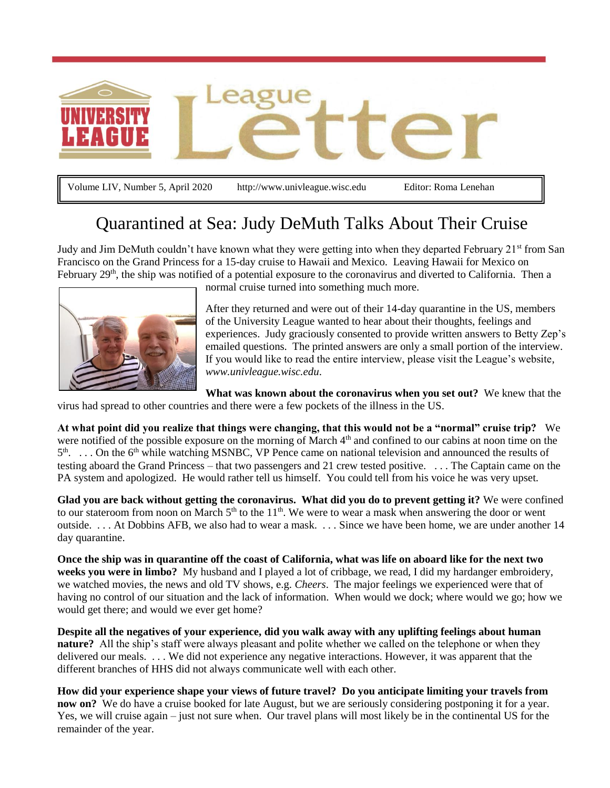

Volume LIV, Number 5, April 2020 http://www.univleague.wisc.edu Editor: Roma Lenehan

# Quarantined at Sea: Judy DeMuth Talks About Their Cruise

Judy and Jim DeMuth couldn't have known what they were getting into when they departed February 21<sup>st</sup> from San Francisco on the Grand Princess for a 15-day cruise to Hawaii and Mexico. Leaving Hawaii for Mexico on February  $29<sup>th</sup>$ , the ship was notified of a potential exposure to the coronavirus and diverted to California. Then a



normal cruise turned into something much more.

After they returned and were out of their 14-day quarantine in the US, members of the University League wanted to hear about their thoughts, feelings and experiences. Judy graciously consented to provide written answers to Betty Zep's emailed questions. The printed answers are only a small portion of the interview. If you would like to read the entire interview, please visit the League's website, *[www.univleague.wisc.edu](http://www.univleague.wisc.edu/LeagueLetter)*.

**What was known about the coronavirus when you set out?** We knew that the virus had spread to other countries and there were a few pockets of the illness in the US.

**At what point did you realize that things were changing, that this would not be a "normal" cruise trip?** We were notified of the possible exposure on the morning of March 4<sup>th</sup> and confined to our cabins at noon time on the 5<sup>th</sup>. ... On the 6<sup>th</sup> while watching MSNBC, VP Pence came on national television and announced the results of testing aboard the Grand Princess – that two passengers and 21 crew tested positive. . . . The Captain came on the PA system and apologized. He would rather tell us himself. You could tell from his voice he was very upset.

**Glad you are back without getting the coronavirus. What did you do to prevent getting it?** We were confined to our stateroom from noon on March  $5<sup>th</sup>$  to the  $11<sup>th</sup>$ . We were to wear a mask when answering the door or went outside. . . . At Dobbins AFB, we also had to wear a mask. . . . Since we have been home, we are under another 14 day quarantine.

**Once the ship was in quarantine off the coast of California, what was life on aboard like for the next two weeks you were in limbo?** My husband and I played a lot of cribbage, we read, I did my hardanger embroidery, we watched movies, the news and old TV shows, e.g. *Cheers*. The major feelings we experienced were that of having no control of our situation and the lack of information. When would we dock; where would we go; how we would get there; and would we ever get home?

**Despite all the negatives of your experience, did you walk away with any uplifting feelings about human nature?** All the ship's staff were always pleasant and polite whether we called on the telephone or when they delivered our meals. . . . We did not experience any negative interactions. However, it was apparent that the different branches of HHS did not always communicate well with each other.

**How did your experience shape your views of future travel? Do you anticipate limiting your travels from now on?** We do have a cruise booked for late August, but we are seriously considering postponing it for a year. Yes, we will cruise again – just not sure when. Our travel plans will most likely be in the continental US for the remainder of the year.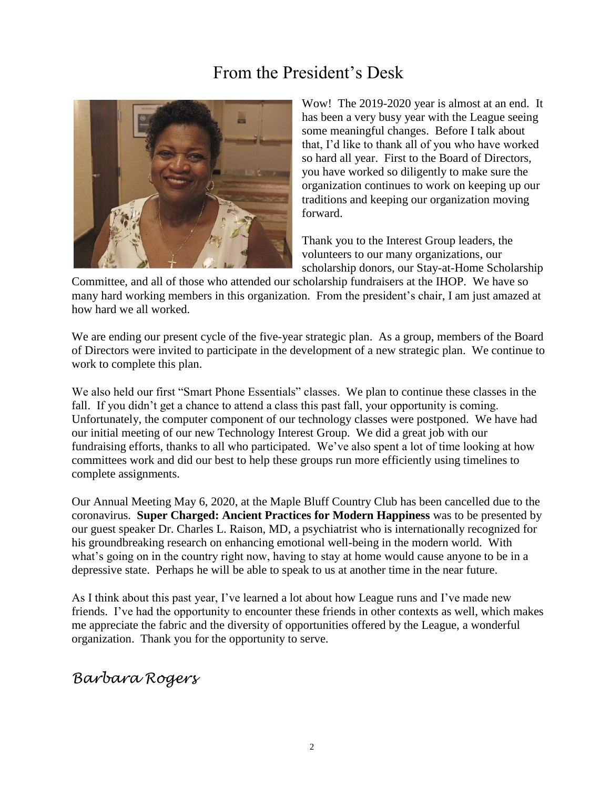# From the President's Desk



Wow! The 2019-2020 year is almost at an end. It has been a very busy year with the League seeing some meaningful changes. Before I talk about that, I'd like to thank all of you who have worked so hard all year. First to the Board of Directors, you have worked so diligently to make sure the organization continues to work on keeping up our traditions and keeping our organization moving forward.

Thank you to the Interest Group leaders, the volunteers to our many organizations, our scholarship donors, our Stay-at-Home Scholarship

Committee, and all of those who attended our scholarship fundraisers at the IHOP. We have so many hard working members in this organization. From the president's chair, I am just amazed at how hard we all worked.

We are ending our present cycle of the five-year strategic plan. As a group, members of the Board of Directors were invited to participate in the development of a new strategic plan. We continue to work to complete this plan.

We also held our first "Smart Phone Essentials" classes. We plan to continue these classes in the fall. If you didn't get a chance to attend a class this past fall, your opportunity is coming. Unfortunately, the computer component of our technology classes were postponed. We have had our initial meeting of our new Technology Interest Group. We did a great job with our fundraising efforts, thanks to all who participated. We've also spent a lot of time looking at how committees work and did our best to help these groups run more efficiently using timelines to complete assignments.

Our Annual Meeting May 6, 2020, at the Maple Bluff Country Club has been cancelled due to the coronavirus. **Super Charged: Ancient Practices for Modern Happiness** was to be presented by our guest speaker Dr. Charles L. Raison, MD, a psychiatrist who is internationally recognized for his groundbreaking research on enhancing emotional well-being in the modern world. With what's going on in the country right now, having to stay at home would cause anyone to be in a depressive state. Perhaps he will be able to speak to us at another time in the near future.

As I think about this past year, I've learned a lot about how League runs and I've made new friends. I've had the opportunity to encounter these friends in other contexts as well, which makes me appreciate the fabric and the diversity of opportunities offered by the League, a wonderful organization. Thank you for the opportunity to serve.

*Barbara Rogers*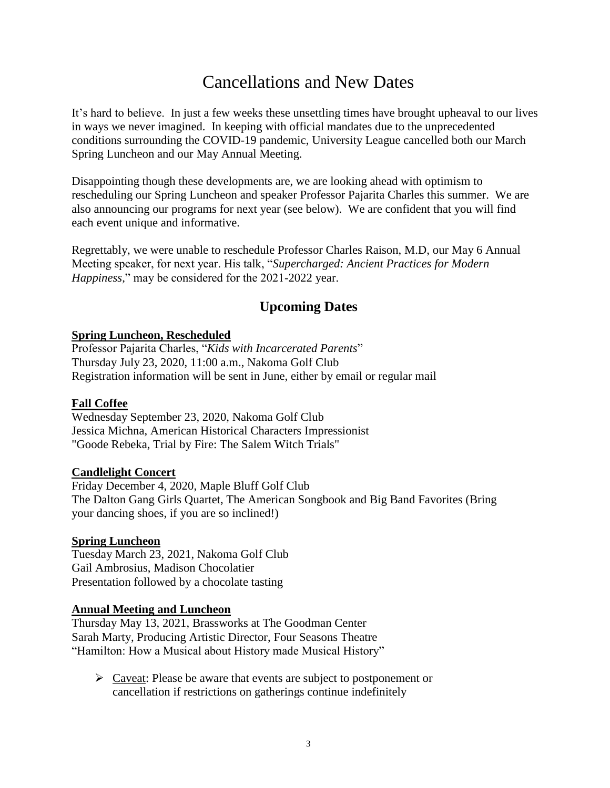# Cancellations and New Dates

It's hard to believe. In just a few weeks these unsettling times have brought upheaval to our lives in ways we never imagined. In keeping with official mandates due to the unprecedented conditions surrounding the COVID-19 pandemic, University League cancelled both our March Spring Luncheon and our May Annual Meeting.

Disappointing though these developments are, we are looking ahead with optimism to rescheduling our Spring Luncheon and speaker Professor Pajarita Charles this summer. We are also announcing our programs for next year (see below). We are confident that you will find each event unique and informative.

Regrettably, we were unable to reschedule Professor Charles Raison, M.D, our May 6 Annual Meeting speaker, for next year. His talk, "*Supercharged: Ancient Practices for Modern Happiness,*" may be considered for the 2021-2022 year.

### **Upcoming Dates**

#### **Spring Luncheon, Rescheduled**

Professor Pajarita Charles, "*Kids with Incarcerated Parents*" Thursday July 23, 2020, 11:00 a.m., Nakoma Golf Club Registration information will be sent in June, either by email or regular mail

### **Fall Coffee**

Wednesday September 23, 2020, Nakoma Golf Club Jessica Michna, American Historical Characters Impressionist "Goode Rebeka, Trial by Fire: The Salem Witch Trials"

#### **Candlelight Concert**

Friday December 4, 2020, Maple Bluff Golf Club The Dalton Gang Girls Quartet, The American Songbook and Big Band Favorites (Bring your dancing shoes, if you are so inclined!)

### **Spring Luncheon**

Tuesday March 23, 2021, Nakoma Golf Club Gail Ambrosius, Madison Chocolatier Presentation followed by a chocolate tasting

### **Annual Meeting and Luncheon**

Thursday May 13, 2021, Brassworks at The Goodman Center Sarah Marty, Producing Artistic Director, Four Seasons Theatre "Hamilton: How a Musical about History made Musical History"

 $\triangleright$  Caveat: Please be aware that events are subject to postponement or cancellation if restrictions on gatherings continue indefinitely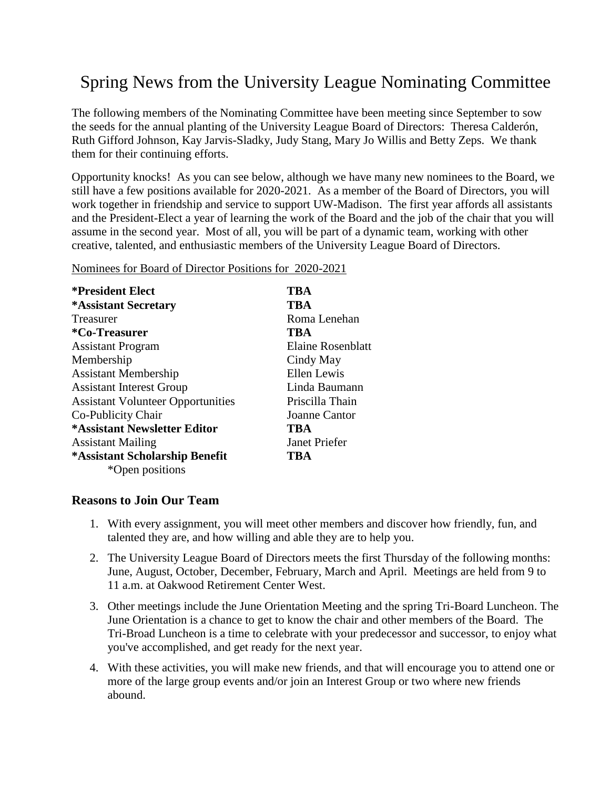# Spring News from the University League Nominating Committee

The following members of the Nominating Committee have been meeting since September to sow the seeds for the annual planting of the University League Board of Directors: Theresa Calderón, Ruth Gifford Johnson, Kay Jarvis-Sladky, Judy Stang, Mary Jo Willis and Betty Zeps. We thank them for their continuing efforts.

Opportunity knocks! As you can see below, although we have many new nominees to the Board, we still have a few positions available for 2020-2021. As a member of the Board of Directors, you will work together in friendship and service to support UW-Madison. The first year affords all assistants and the President-Elect a year of learning the work of the Board and the job of the chair that you will assume in the second year. Most of all, you will be part of a dynamic team, working with other creative, talented, and enthusiastic members of the University League Board of Directors.

**\*President Elect TBA \*Assistant Secretary TBA** Treasurer Roma Lenehan **\*Co-Treasurer TBA** Assistant Program Elaine Rosenblatt Membership Cindy May Assistant Membership Ellen Lewis Assistant Interest Group Linda Baumann Assistant Volunteer Opportunities Priscilla Thain Co-Publicity Chair Joanne Cantor **\*Assistant Newsletter Editor TBA** Assistant Mailing Janet Priefer **\*Assistant Scholarship Benefit TBA** \*Open positions

Nominees for Board of Director Positions for 2020-2021

### **Reasons to Join Our Team**

- 1. With every assignment, you will meet other members and discover how friendly, fun, and talented they are, and how willing and able they are to help you.
- 2. The University League Board of Directors meets the first Thursday of the following months: June, August, October, December, February, March and April. Meetings are held from 9 to 11 a.m. at Oakwood Retirement Center West.
- 3. Other meetings include the June Orientation Meeting and the spring Tri-Board Luncheon. The June Orientation is a chance to get to know the chair and other members of the Board. The Tri-Broad Luncheon is a time to celebrate with your predecessor and successor, to enjoy what you've accomplished, and get ready for the next year.
- 4. With these activities, you will make new friends, and that will encourage you to attend one or more of the large group events and/or join an Interest Group or two where new friends abound.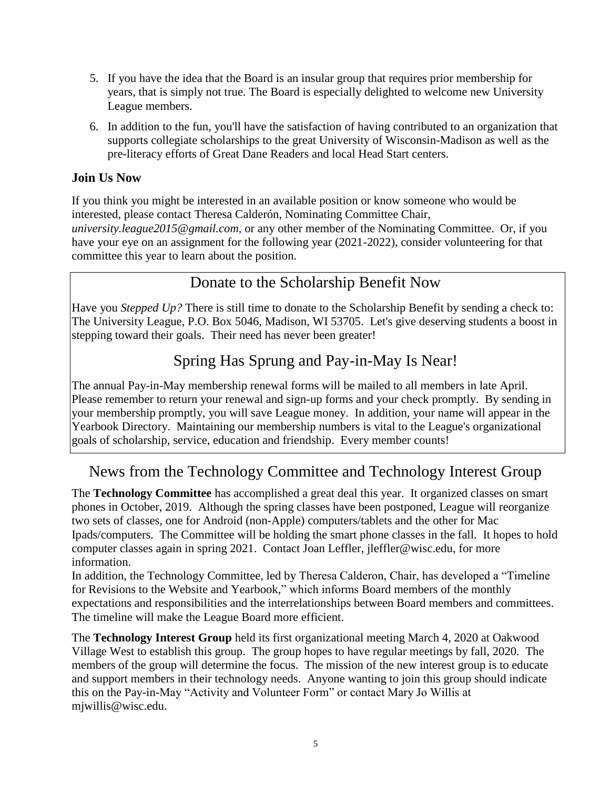- 5. If you have the idea that the Board is an insular group that requires prior membership for years, that is simply not true. The Board is especially delighted to welcome new University League members.
- 6. In addition to the fun, you'll have the satisfaction of having contributed to an organization that supports collegiate scholarships to the great University of Wisconsin-Madison as well as the pre-literacy efforts of Great Dane Readers and local Head Start centers.

### **Join Us Now**

If you think you might be interested in an available position or know someone who would be interested, please contact Theresa Calderón, Nominating Committee Chair, *[university.league2015@gmail.com](mailto:university.league2015@gmail.com)*, or any other member of the Nominating Committee. Or, if you have your eye on an assignment for the following year (2021-2022), consider volunteering for that committee this year to learn about the position.

## Donate to the Scholarship Benefit Now

Have you *Stepped Up?* There is still time to donate to the Scholarship Benefit by sending a check to: The University League, P.O. Box 5046, Madison, WI 53705. Let's give deserving students a boost in stepping toward their goals. Their need has never been greater!

## Spring Has Sprung and Pay-in-May Is Near!

The annual Pay-in-May membership renewal forms will be mailed to all members in late April. Please remember to return your renewal and sign-up forms and your check promptly. By sending in your membership promptly, you will save League money. In addition, your name will appear in the Yearbook Directory. Maintaining our membership numbers is vital to the League's organizational goals of scholarship, service, education and friendship. Every member counts!

## News from the Technology Committee and Technology Interest Group

The **Technology Committee** has accomplished a great deal this year. It organized classes on smart phones in October, 2019. Although the spring classes have been postponed, League will reorganize two sets of classes, one for Android (non-Apple) computers/tablets and the other for Mac Ipads/computers. The Committee will be holding the smart phone classes in the fall. It hopes to hold computer classes again in spring 2021. Contact Joan Leffler, [jleffler@wisc.edu,](mailto:jleffler@wisc.edu) for more information.

In addition, the Technology Committee, led by Theresa Calderon, Chair, has developed a "Timeline for Revisions to the Website and Yearbook," which informs Board members of the monthly expectations and responsibilities and the interrelationships between Board members and committees. The timeline will make the League Board more efficient.

The **Technology Interest Group** held its first organizational meeting March 4, 2020 at Oakwood Village West to establish this group. The group hopes to have regular meetings by fall, 2020. The members of the group will determine the focus. The mission of the new interest group is to educate and support members in their technology needs. Anyone wanting to join this group should indicate this on the Pay-in-May "Activity and Volunteer Form" or contact Mary Jo Willis at mjwillis@wisc.edu.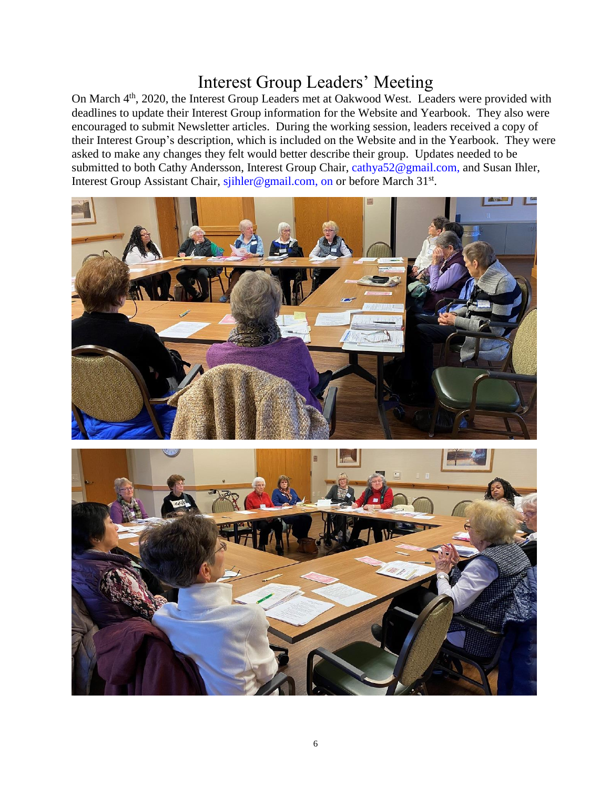# Interest Group Leaders' Meeting

On March 4<sup>th</sup>, 2020, the Interest Group Leaders met at Oakwood West. Leaders were provided with deadlines to update their Interest Group information for the Website and Yearbook. They also were encouraged to submit Newsletter articles. During the working session, leaders received a copy of their Interest Group's description, which is included on the Website and in the Yearbook. They were asked to make any changes they felt would better describe their group. Updates needed to be submitted to both Cathy Andersson, Interest Group Chair, [cathya52@gmail.com,](mailto:cathya52@gmail.com) and Susan Ihler, Interest Group Assistant Chair, [sjihler@gmail.com, on](mailto:sjihler@gmail.com,%20on) or before March 31<sup>st</sup>.



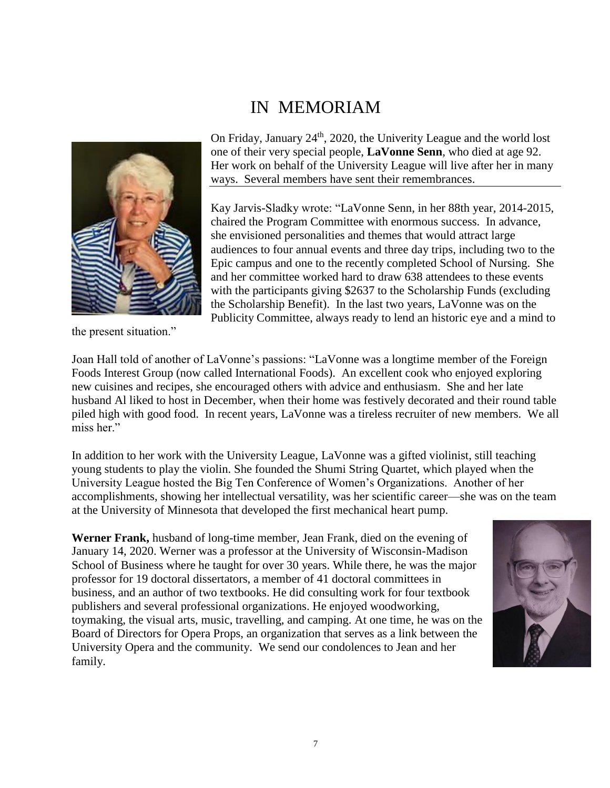# IN MEMORIAM

![](_page_6_Picture_1.jpeg)

the present situation."

On Friday, January  $24<sup>th</sup>$ , 2020, the Univerity League and the world lost one of their very special people, **LaVonne Senn**, who died at age 92. Her work on behalf of the University League will live after her in many ways. Several members have sent their remembrances.

Kay Jarvis-Sladky wrote: "LaVonne Senn, in her 88th year, 2014-2015, chaired the Program Committee with enormous success. In advance, she envisioned personalities and themes that would attract large audiences to four annual events and three day trips, including two to the Epic campus and one to the recently completed School of Nursing. She and her committee worked hard to draw 638 attendees to these events with the participants giving \$2637 to the Scholarship Funds (excluding the Scholarship Benefit). In the last two years, LaVonne was on the Publicity Committee, always ready to lend an historic eye and a mind to

Joan Hall told of another of LaVonne's passions: "LaVonne was a longtime member of the Foreign Foods Interest Group (now called International Foods). An excellent cook who enjoyed exploring new cuisines and recipes, she encouraged others with advice and enthusiasm. She and her late husband Al liked to host in December, when their home was festively decorated and their round table piled high with good food. In recent years, LaVonne was a tireless recruiter of new members. We all miss her."

In addition to her work with the University League, LaVonne was a gifted violinist, still teaching young students to play the violin. She founded the Shumi String Quartet, which played when the University League hosted the Big Ten Conference of Women's Organizations. Another of her accomplishments, showing her intellectual versatility, was her scientific career—she was on the team at the University of Minnesota that developed the first mechanical heart pump.

**Werner Frank,** husband of long-time member, Jean Frank, died on the evening of January 14, 2020. Werner was a professor at the University of Wisconsin-Madison School of Business where he taught for over 30 years. While there, he was the major professor for 19 doctoral dissertators, a member of 41 doctoral committees in business, and an author of two textbooks. He did consulting work for four textbook publishers and several professional organizations. He enjoyed woodworking, toymaking, the visual arts, music, travelling, and camping. At one time, he was on the Board of Directors for Opera Props, an organization that serves as a link between the University Opera and the community. We send our condolences to Jean and her family.

![](_page_6_Picture_8.jpeg)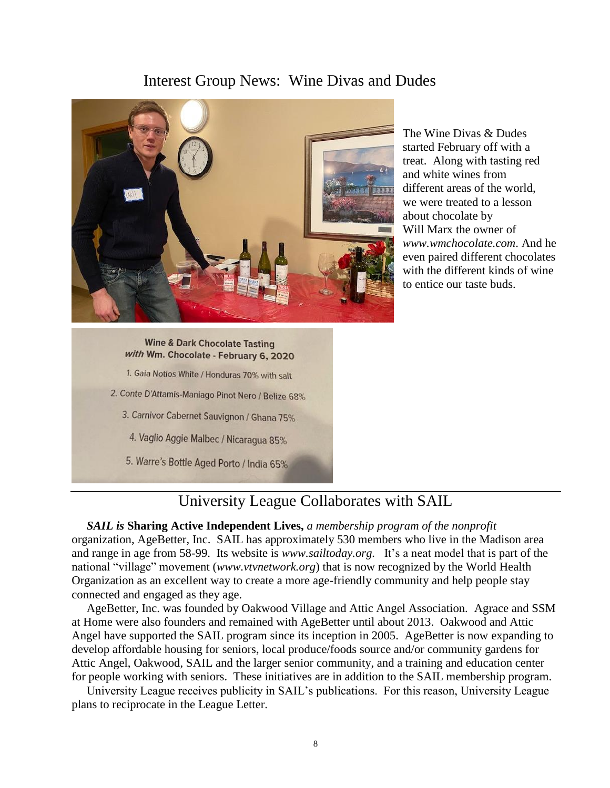### Interest Group News: Wine Divas and Dudes

![](_page_7_Picture_1.jpeg)

The Wine Divas & Dudes started February off with a treat. Along with tasting red and white wines from different areas of the world, we were treated to a lesson about chocolate by Will Marx the owner of *[www.wmchocolate.com](http://www.wmchocolate.com/)*. And he even paired different chocolates with the different kinds of wine to entice our taste buds.

#### **Wine & Dark Chocolate Tasting** with Wm. Chocolate - February 6, 2020

- 1. Gaia Notios White / Honduras 70% with salt
- 2. Conte D'Attamis-Maniago Pinot Nero / Belize 68%
	- 3. Carnivor Cabernet Sauvignon / Ghana 75%
		- 4. Vaglio Aggie Malbec / Nicaragua 85%
	- 5. Warre's Bottle Aged Porto / India 65%

### University League Collaborates with SAIL

 *SAIL is* **Sharing Active Independent Lives,** *a membership program of the nonprofit* organization, AgeBetter, Inc. SAIL has approximately 530 members who live in the Madison area and range in age from 58-99. Its website is *[www.sailtoday.org.](http://www.sailtoday.org/)* It's a neat model that is part of the national "village" movement (*[www.vtvnetwork.org](http://www.vtvnetwork.org/)*) that is now recognized by the World Health Organization as an excellent way to create a more age-friendly community and help people stay connected and engaged as they age.

 AgeBetter, Inc. was founded by Oakwood Village and Attic Angel Association. Agrace and SSM at Home were also founders and remained with AgeBetter until about 2013. Oakwood and Attic Angel have supported the SAIL program since its inception in 2005. AgeBetter is now expanding to develop affordable housing for seniors, local produce/foods source and/or community gardens for Attic Angel, Oakwood, SAIL and the larger senior community, and a training and education center for people working with seniors. These initiatives are in addition to the SAIL membership program.

 University League receives publicity in SAIL's publications. For this reason, University League plans to reciprocate in the League Letter.